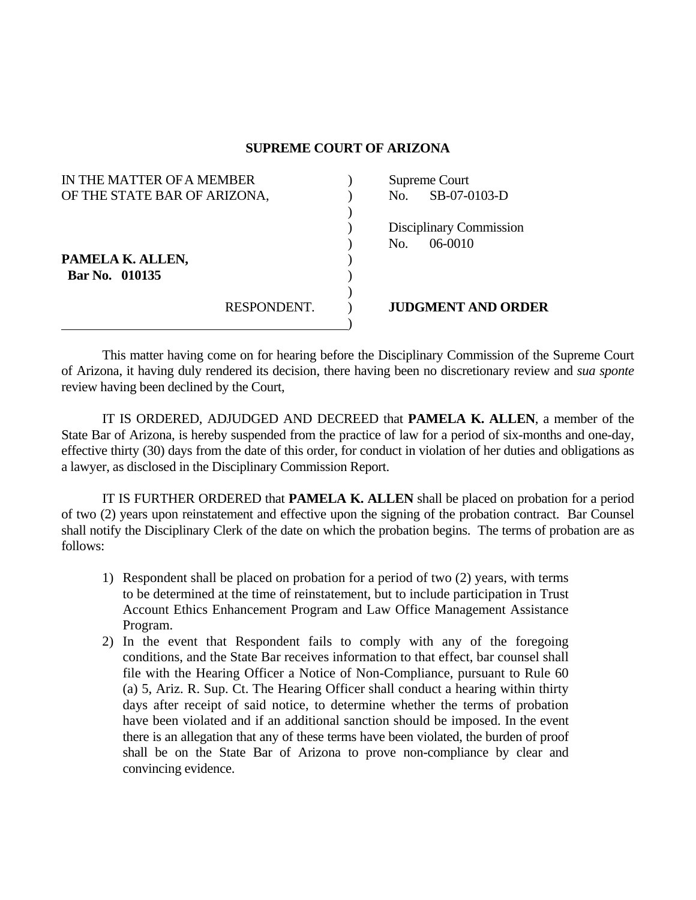## **SUPREME COURT OF ARIZONA**

| IN THE MATTER OF A MEMBER                                          |             | Supreme Court                             |  |
|--------------------------------------------------------------------|-------------|-------------------------------------------|--|
| OF THE STATE BAR OF ARIZONA,<br>PAMELA K. ALLEN,<br>Bar No. 010135 |             | SB-07-0103-D<br>No.                       |  |
|                                                                    |             | Disciplinary Commission<br>06-0010<br>No. |  |
|                                                                    | RESPONDENT. | <b>JUDGMENT AND ORDER</b>                 |  |

 This matter having come on for hearing before the Disciplinary Commission of the Supreme Court of Arizona, it having duly rendered its decision, there having been no discretionary review and *sua sponte* review having been declined by the Court,

 IT IS ORDERED, ADJUDGED AND DECREED that **PAMELA K. ALLEN**, a member of the State Bar of Arizona, is hereby suspended from the practice of law for a period of six-months and one-day, effective thirty (30) days from the date of this order, for conduct in violation of her duties and obligations as a lawyer, as disclosed in the Disciplinary Commission Report.

 IT IS FURTHER ORDERED that **PAMELA K. ALLEN** shall be placed on probation for a period of two (2) years upon reinstatement and effective upon the signing of the probation contract. Bar Counsel shall notify the Disciplinary Clerk of the date on which the probation begins. The terms of probation are as follows:

- 1) Respondent shall be placed on probation for a period of two (2) years, with terms to be determined at the time of reinstatement, but to include participation in Trust Account Ethics Enhancement Program and Law Office Management Assistance Program.
- 2) In the event that Respondent fails to comply with any of the foregoing conditions, and the State Bar receives information to that effect, bar counsel shall file with the Hearing Officer a Notice of Non-Compliance, pursuant to Rule 60 (a) 5, Ariz. R. Sup. Ct. The Hearing Officer shall conduct a hearing within thirty days after receipt of said notice, to determine whether the terms of probation have been violated and if an additional sanction should be imposed. In the event there is an allegation that any of these terms have been violated, the burden of proof shall be on the State Bar of Arizona to prove non-compliance by clear and convincing evidence.